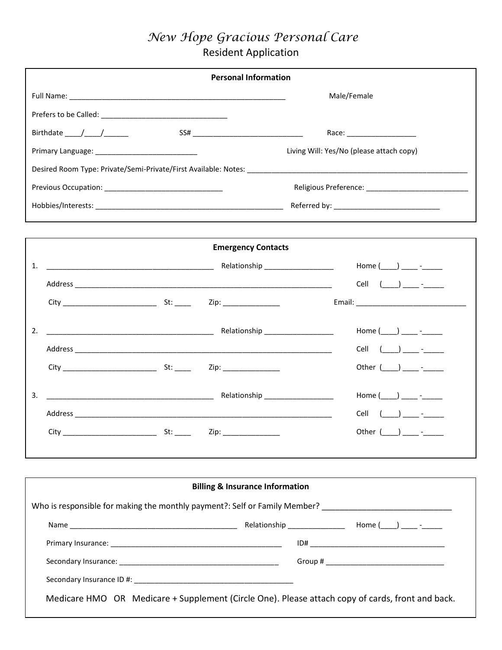## *New Hope Gracious Personal Care*

Resident Application

|                                                                                                                                                                                                                                                                                                                                                                                                                         | <b>Personal Information</b>                |                               |  |  |
|-------------------------------------------------------------------------------------------------------------------------------------------------------------------------------------------------------------------------------------------------------------------------------------------------------------------------------------------------------------------------------------------------------------------------|--------------------------------------------|-------------------------------|--|--|
|                                                                                                                                                                                                                                                                                                                                                                                                                         |                                            | Male/Female                   |  |  |
|                                                                                                                                                                                                                                                                                                                                                                                                                         |                                            |                               |  |  |
| Birthdate $\frac{1}{\sqrt{1-\frac{1}{2}}}\frac{1}{\sqrt{1-\frac{1}{2}}}\frac{1}{\sqrt{1-\frac{1}{2}}}\frac{1}{\sqrt{1-\frac{1}{2}}}\frac{1}{\sqrt{1-\frac{1}{2}}}\frac{1}{\sqrt{1-\frac{1}{2}}}\frac{1}{\sqrt{1-\frac{1}{2}}}\frac{1}{\sqrt{1-\frac{1}{2}}}\frac{1}{\sqrt{1-\frac{1}{2}}}\frac{1}{\sqrt{1-\frac{1}{2}}}\frac{1}{\sqrt{1-\frac{1}{2}}}\frac{1}{\sqrt{1-\frac{1}{2}}}\frac{1}{\sqrt{1-\frac{1}{2}}}\frac$ |                                            | Race: ______________________  |  |  |
| Living Will: Yes/No (please attach copy)                                                                                                                                                                                                                                                                                                                                                                                |                                            |                               |  |  |
|                                                                                                                                                                                                                                                                                                                                                                                                                         |                                            |                               |  |  |
|                                                                                                                                                                                                                                                                                                                                                                                                                         |                                            |                               |  |  |
|                                                                                                                                                                                                                                                                                                                                                                                                                         |                                            |                               |  |  |
|                                                                                                                                                                                                                                                                                                                                                                                                                         |                                            |                               |  |  |
|                                                                                                                                                                                                                                                                                                                                                                                                                         | <b>Emergency Contacts</b>                  |                               |  |  |
| 1.                                                                                                                                                                                                                                                                                                                                                                                                                      |                                            | Home $(\_\_)$ $\_\_$ -        |  |  |
|                                                                                                                                                                                                                                                                                                                                                                                                                         |                                            |                               |  |  |
|                                                                                                                                                                                                                                                                                                                                                                                                                         |                                            |                               |  |  |
|                                                                                                                                                                                                                                                                                                                                                                                                                         |                                            |                               |  |  |
| 2.                                                                                                                                                                                                                                                                                                                                                                                                                      |                                            | Home $(\_\_\_\_\_\_\_\_\$ -   |  |  |
|                                                                                                                                                                                                                                                                                                                                                                                                                         |                                            | Cell $(\_\_\_\_\_\_\_\_\_\_\$ |  |  |
|                                                                                                                                                                                                                                                                                                                                                                                                                         |                                            | Other $(\_\_)$ _____ -____    |  |  |
| 3.                                                                                                                                                                                                                                                                                                                                                                                                                      |                                            | Home $(\_\_)$ _____ -_____    |  |  |
|                                                                                                                                                                                                                                                                                                                                                                                                                         |                                            | Cell $(\_\_\_\_\_\_\_\_\$ -   |  |  |
|                                                                                                                                                                                                                                                                                                                                                                                                                         |                                            | Other $(\_\_)$ ____ -____     |  |  |
|                                                                                                                                                                                                                                                                                                                                                                                                                         |                                            |                               |  |  |
|                                                                                                                                                                                                                                                                                                                                                                                                                         |                                            |                               |  |  |
|                                                                                                                                                                                                                                                                                                                                                                                                                         | <b>Billing &amp; Insurance Information</b> |                               |  |  |
| Who is responsible for making the monthly payment?: Self or Family Member?                                                                                                                                                                                                                                                                                                                                              |                                            |                               |  |  |
|                                                                                                                                                                                                                                                                                                                                                                                                                         |                                            |                               |  |  |
|                                                                                                                                                                                                                                                                                                                                                                                                                         |                                            |                               |  |  |
|                                                                                                                                                                                                                                                                                                                                                                                                                         |                                            |                               |  |  |
|                                                                                                                                                                                                                                                                                                                                                                                                                         |                                            |                               |  |  |
| Medicare HMO OR Medicare + Supplement (Circle One). Please attach copy of cards, front and back.                                                                                                                                                                                                                                                                                                                        |                                            |                               |  |  |
|                                                                                                                                                                                                                                                                                                                                                                                                                         |                                            |                               |  |  |